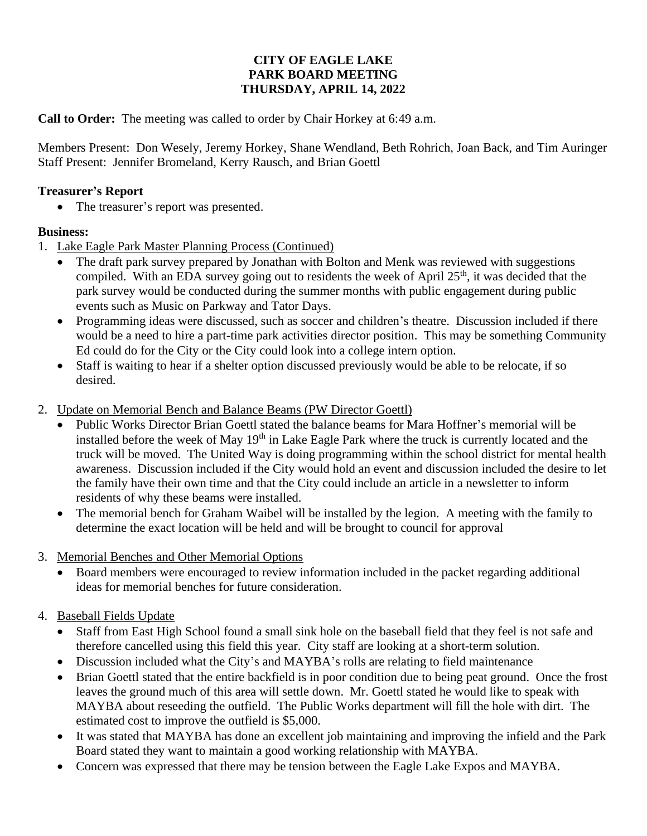## **CITY OF EAGLE LAKE PARK BOARD MEETING THURSDAY, APRIL 14, 2022**

**Call to Order:** The meeting was called to order by Chair Horkey at 6:49 a.m.

Members Present: Don Wesely, Jeremy Horkey, Shane Wendland, Beth Rohrich, Joan Back, and Tim Auringer Staff Present: Jennifer Bromeland, Kerry Rausch, and Brian Goettl

## **Treasurer's Report**

• The treasurer's report was presented.

## **Business:**

- 1. Lake Eagle Park Master Planning Process (Continued)
	- The draft park survey prepared by Jonathan with Bolton and Menk was reviewed with suggestions compiled. With an EDA survey going out to residents the week of April  $25<sup>th</sup>$ , it was decided that the park survey would be conducted during the summer months with public engagement during public events such as Music on Parkway and Tator Days.
	- Programming ideas were discussed, such as soccer and children's theatre. Discussion included if there would be a need to hire a part-time park activities director position. This may be something Community Ed could do for the City or the City could look into a college intern option.
	- Staff is waiting to hear if a shelter option discussed previously would be able to be relocate, if so desired.
- 2. Update on Memorial Bench and Balance Beams (PW Director Goettl)
	- Public Works Director Brian Goettl stated the balance beams for Mara Hoffner's memorial will be installed before the week of May 19<sup>th</sup> in Lake Eagle Park where the truck is currently located and the truck will be moved. The United Way is doing programming within the school district for mental health awareness. Discussion included if the City would hold an event and discussion included the desire to let the family have their own time and that the City could include an article in a newsletter to inform residents of why these beams were installed.
	- The memorial bench for Graham Waibel will be installed by the legion. A meeting with the family to determine the exact location will be held and will be brought to council for approval
- 3. Memorial Benches and Other Memorial Options
	- Board members were encouraged to review information included in the packet regarding additional ideas for memorial benches for future consideration.

## 4. Baseball Fields Update

- Staff from East High School found a small sink hole on the baseball field that they feel is not safe and therefore cancelled using this field this year. City staff are looking at a short-term solution.
- Discussion included what the City's and MAYBA's rolls are relating to field maintenance
- Brian Goettl stated that the entire backfield is in poor condition due to being peat ground. Once the frost leaves the ground much of this area will settle down. Mr. Goettl stated he would like to speak with MAYBA about reseeding the outfield. The Public Works department will fill the hole with dirt. The estimated cost to improve the outfield is \$5,000.
- It was stated that MAYBA has done an excellent job maintaining and improving the infield and the Park Board stated they want to maintain a good working relationship with MAYBA.
- Concern was expressed that there may be tension between the Eagle Lake Expos and MAYBA.